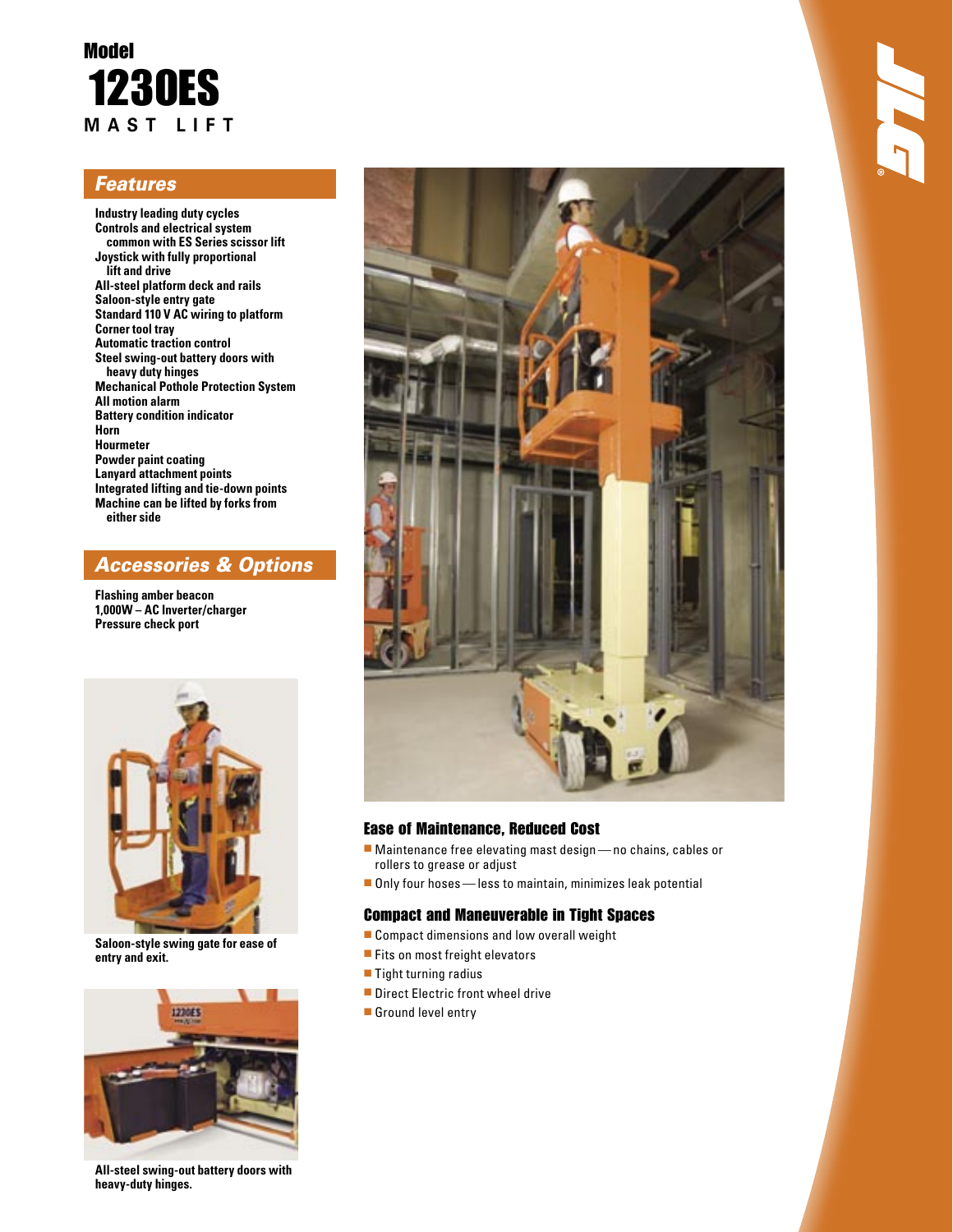## Model 1230ES **M A S T L I F T**

### **Features**

**Industry leading duty cycles Controls and electrical system common with ES Series scissor lift Joystick with fully proportional lift and drive All-steel platform deck and rails Saloon-style entry gate Standard 110 V AC wiring to platform Corner tool tray Automatic traction control Steel swing-out battery doors with heavy duty hinges Mechanical Pothole Protection System All motion alarm Battery condition indicator Horn Hourmeter Powder paint coating Lanyard attachment points Integrated lifting and tie-down points Machine can be lifted by forks from either side**

### Accessories & Options

**Flashing amber beacon 1,000W – AC Inverter/charger Pressure check port**



**Saloon-style swing gate for ease of entry and exit.**



**All-steel swing-out battery doors with heavy-duty hinges.**



### Ease of Maintenance, Reduced Cost

- Maintenance free elevating mast design no chains, cables or rollers to grease or adjust
- Only four hoses less to maintain, minimizes leak potential

### Compact and Maneuverable in Tight Spaces

- Compact dimensions and low overall weight
- Fits on most freight elevators
- Tight turning radius
- Direct Electric front wheel drive
- Ground level entry